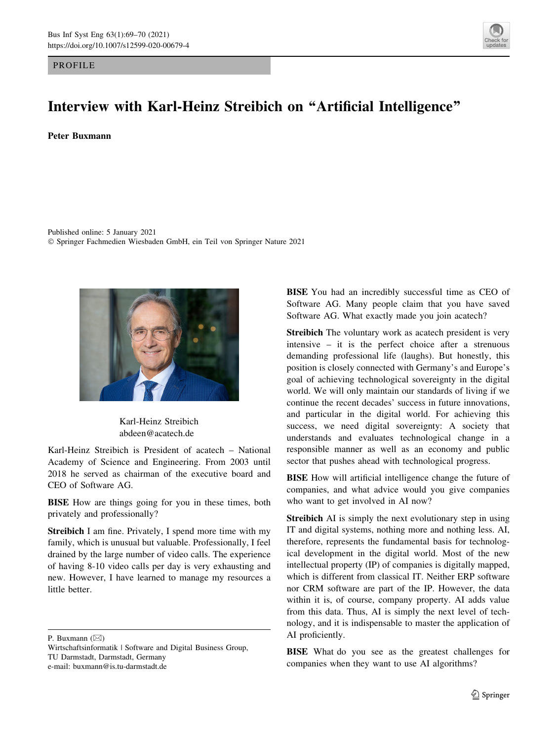## PROFILE



## Interview with Karl-Heinz Streibich on ''Artificial Intelligence''

## Peter Buxmann

Published online: 5 January 2021 - Springer Fachmedien Wiesbaden GmbH, ein Teil von Springer Nature 2021



Karl-Heinz Streibich abdeen@acatech.de

Karl-Heinz Streibich is President of acatech – National Academy of Science and Engineering. From 2003 until 2018 he served as chairman of the executive board and CEO of Software AG.

BISE How are things going for you in these times, both privately and professionally?

Streibich I am fine. Privately, I spend more time with my family, which is unusual but valuable. Professionally, I feel drained by the large number of video calls. The experience of having 8-10 video calls per day is very exhausting and new. However, I have learned to manage my resources a little better.

P. Buxmann  $(\boxtimes)$ 

BISE You had an incredibly successful time as CEO of Software AG. Many people claim that you have saved Software AG. What exactly made you join acatech?

Streibich The voluntary work as acatech president is very intensive – it is the perfect choice after a strenuous demanding professional life (laughs). But honestly, this position is closely connected with Germany's and Europe's goal of achieving technological sovereignty in the digital world. We will only maintain our standards of living if we continue the recent decades' success in future innovations, and particular in the digital world. For achieving this success, we need digital sovereignty: A society that understands and evaluates technological change in a responsible manner as well as an economy and public sector that pushes ahead with technological progress.

BISE How will artificial intelligence change the future of companies, and what advice would you give companies who want to get involved in AI now?

Streibich AI is simply the next evolutionary step in using IT and digital systems, nothing more and nothing less. AI, therefore, represents the fundamental basis for technological development in the digital world. Most of the new intellectual property (IP) of companies is digitally mapped, which is different from classical IT. Neither ERP software nor CRM software are part of the IP. However, the data within it is, of course, company property. AI adds value from this data. Thus, AI is simply the next level of technology, and it is indispensable to master the application of AI proficiently.

BISE What do you see as the greatest challenges for companies when they want to use AI algorithms?

Wirtschaftsinformatik | Software and Digital Business Group, TU Darmstadt, Darmstadt, Germany e-mail: buxmann@is.tu-darmstadt.de